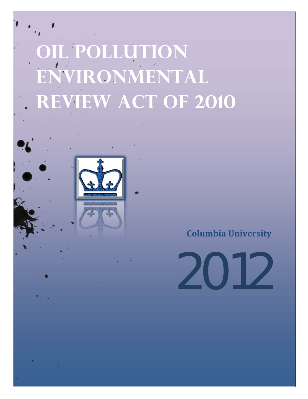# **Oil pollution environmental REVIEW ACT OF 2010**

**Columbia University**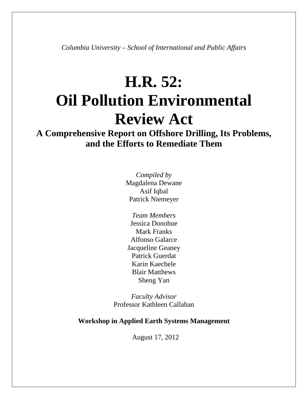*Columbia University – School of International and Public Affairs* 

## **H.R. 52: Oil Pollution Environmental Review Act**

**A Comprehensive Report on Offshore Drilling, Its Problems, and the Efforts to Remediate Them** 

> *Compiled by*  Magdalena Dewane Asif Iqbal Patrick Niemeyer

*Team Members* Jessica Donohue Mark Franks Alfonso Galarce Jacqueline Geaney Patrick Guerdat Karin Kaechele Blair Matthews Sheng Yan

*Faculty Advisor* Professor Kathleen Callahan

#### **Workshop in Applied Earth Systems Management**

August 17, 2012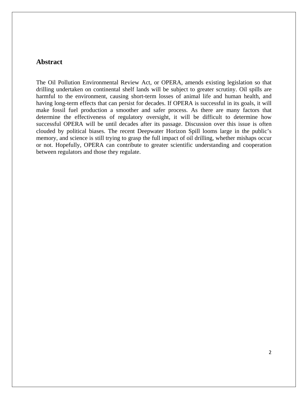#### **Abstract**

The Oil Pollution Environmental Review Act, or OPERA, amends existing legislation so that drilling undertaken on continental shelf lands will be subject to greater scrutiny. Oil spills are harmful to the environment, causing short-term losses of animal life and human health, and having long-term effects that can persist for decades. If OPERA is successful in its goals, it will make fossil fuel production a smoother and safer process. As there are many factors that determine the effectiveness of regulatory oversight, it will be difficult to determine how successful OPERA will be until decades after its passage. Discussion over this issue is often clouded by political biases. The recent Deepwater Horizon Spill looms large in the public's memory, and science is still trying to grasp the full impact of oil drilling, whether mishaps occur or not. Hopefully, OPERA can contribute to greater scientific understanding and cooperation between regulators and those they regulate.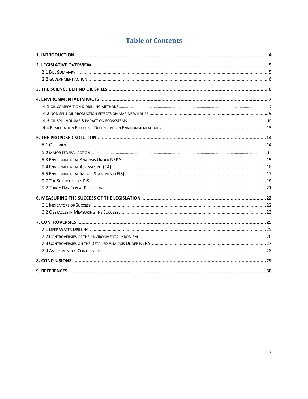### **Table of Contents**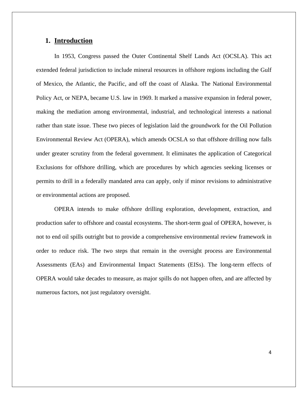#### **1. Introduction**

 In 1953, Congress passed the Outer Continental Shelf Lands Act (OCSLA). This act extended federal jurisdiction to include mineral resources in offshore regions including the Gulf of Mexico, the Atlantic, the Pacific, and off the coast of Alaska. The National Environmental Policy Act, or NEPA, became U.S. law in 1969. It marked a massive expansion in federal power, making the mediation among environmental, industrial, and technological interests a national rather than state issue. These two pieces of legislation laid the groundwork for the Oil Pollution Environmental Review Act (OPERA), which amends OCSLA so that offshore drilling now falls under greater scrutiny from the federal government. It eliminates the application of Categorical Exclusions for offshore drilling, which are procedures by which agencies seeking licenses or permits to drill in a federally mandated area can apply, only if minor revisions to administrative or environmental actions are proposed.

 OPERA intends to make offshore drilling exploration, development, extraction, and production safer to offshore and coastal ecosystems. The short-term goal of OPERA, however, is not to end oil spills outright but to provide a comprehensive environmental review framework in order to reduce risk. The two steps that remain in the oversight process are Environmental Assessments (EAs) and Environmental Impact Statements (EISs). The long-term effects of OPERA would take decades to measure, as major spills do not happen often, and are affected by numerous factors, not just regulatory oversight.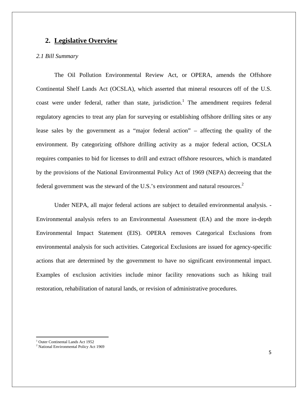#### **2. Legislative Overview**

#### *2.1 Bill Summary*

 The Oil Pollution Environmental Review Act, or OPERA, amends the Offshore Continental Shelf Lands Act (OCSLA), which asserted that mineral resources off of the U.S. coast were under federal, rather than state, jurisdiction.<sup>1</sup> The amendment requires federal regulatory agencies to treat any plan for surveying or establishing offshore drilling sites or any lease sales by the government as a "major federal action" – affecting the quality of the environment. By categorizing offshore drilling activity as a major federal action, OCSLA requires companies to bid for licenses to drill and extract offshore resources, which is mandated by the provisions of the National Environmental Policy Act of 1969 (NEPA) decreeing that the federal government was the steward of the U.S.'s environment and natural resources. $2^2$ 

Under NEPA, all major federal actions are subject to detailed environmental analysis. - Environmental analysis refers to an Environmental Assessment (EA) and the more in-depth Environmental Impact Statement (EIS). OPERA removes Categorical Exclusions from environmental analysis for such activities. Categorical Exclusions are issued for agency-specific actions that are determined by the government to have no significant environmental impact. Examples of exclusion activities include minor facility renovations such as hiking trail restoration, rehabilitation of natural lands, or revision of administrative procedures.

<sup>&</sup>lt;sup>1</sup> Outer Continental Lands Act 1952

<sup>&</sup>lt;sup>2</sup> National Environmental Policy Act 1969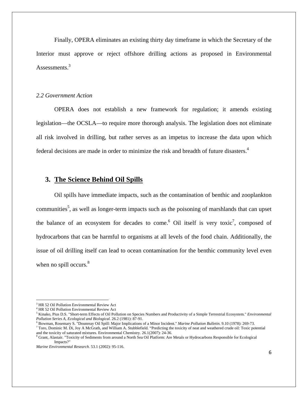Finally, OPERA eliminates an existing thirty day timeframe in which the Secretary of the Interior must approve or reject offshore drilling actions as proposed in Environmental Assessments.<sup>3</sup>

#### *2.2 Government Action*

 OPERA does not establish a new framework for regulation; it amends existing legislation—the OCSLA—to require more thorough analysis. The legislation does not eliminate all risk involved in drilling, but rather serves as an impetus to increase the data upon which federal decisions are made in order to minimize the risk and breadth of future disasters.<sup>4</sup>

#### **3. The Science Behind Oil Spills**

Oil spills have immediate impacts, such as the contamination of benthic and zooplankton communities<sup>5</sup>, as well as longer-term impacts such as the poisoning of marshlands that can upset the balance of an ecosystem for decades to come.<sup>6</sup> Oil itself is very toxic<sup>7</sup>, composed of hydrocarbons that can be harmful to organisms at all levels of the food chain. Additionally, the issue of oil drilling itself can lead to ocean contamination for the benthic community level even when no spill occurs.<sup>8</sup>

 3 HR 52 Oil Pollution Environmental Review Act

<sup>4</sup> HR 52 Oil Pollution Environmental Review Act

<sup>5</sup> Kinako, Pius D.S. "Short-term Effects of Oil Pollution on Species Numbers and Productivity of a Simple Terrestrial Ecosystem." *Environmental Pollution Series A, Ecological and Biological.* 26.2 (1981): 87-91. 6

<sup>&</sup>lt;sup>6</sup> Bowman, Rosemary S. "Dounreay Oil Spill: Major Implications of a Minor Incident." *Marine Pollution Bulletin.* 9.10 (1978): 269-73.

 $^7$  Toro, Dominic M. Di, Joy A McGrath, and William A. Stubblefield. "Predicting the toxicity of neat and weathered crude oil: Toxic potential and the toxicity of saturated mixtures. Environmental Chemistry. 26.1(2007): 24-36.

<sup>&</sup>lt;sup>8</sup> Grant, Alastair. "Toxicity of Sediments from around a North Sea Oil Platform: Are Metals or Hydrocarbons Responsible for Ecological Impacts?"

*Marine Environmental Research.* 53.1 (2002): 95-116.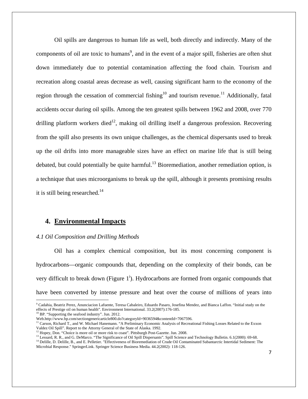Oil spills are dangerous to human life as well, both directly and indirectly. Many of the components of oil are toxic to humans<sup>9</sup>, and in the event of a major spill, fisheries are often shut down immediately due to potential contamination affecting the food chain. Tourism and recreation along coastal areas decrease as well, causing significant harm to the economy of the region through the cessation of commercial fishing<sup>10</sup> and tourism revenue.<sup>11</sup> Additionally, fatal accidents occur during oil spills. Among the ten greatest spills between 1962 and 2008, over 770 drilling platform workers died<sup>12</sup>, making oil drilling itself a dangerous profession. Recovering from the spill also presents its own unique challenges, as the chemical dispersants used to break up the oil drifts into more manageable sizes have an effect on marine life that is still being debated, but could potentially be quite harmful.<sup>13</sup> Bioremediation, another remediation option, is a technique that uses microorganisms to break up the spill, although it presents promising results it is still being researched.<sup>14</sup>

#### **4. Environmental Impacts**

#### *4.1 Oil Composition and Drilling Methods*

Oil has a complex chemical composition, but its most concerning component is hydrocarbons—organic compounds that, depending on the complexity of their bonds, can be very difficult to break down (Figure  $1^i$ ). Hydrocarbons are formed from organic compounds that have been converted by intense pressure and heat over the course of millions of years into

Microbial Response." SpringerLink. Springer Science Business Media. 44.2(2002): 118-126.

<sup>9</sup> Cadahia, Beatriz Perez, Anunciacion Lafuente, Teresa Cabaleiro, Eduardo Pasaro, Josefina Mendez, and Bianca Laffon. "Initial study on the effects of Prestige oil on human health". Environment International. 33.2(2007):176-185.

<sup>&</sup>lt;sup>10</sup> BP. "Supporting the seafood industry". Jun. 2012.<br>Web.http://www.bp.com/sectiongenericarticle800.do?categoryId=9036594&contentId=7067596.

<sup>&</sup>lt;sup>11</sup> Carson, Richard T., and W. Michael Hanemann. "A Preliminary Economic Analysis of Recreational Fishing Losses Related to the Exxon Valdez Oil Spill". Report to the Attorny General of the State of Alaska. 1992.<br><sup>12</sup> Hopey, Don. "Choice is more oil or more risk to coast". Pittsburgh Post-Gazette. Jun. 2008.<br><sup>13</sup> Lessard, R. R., and G. DeMarco. "The Sign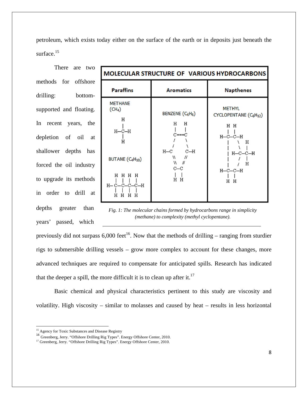petroleum, which exists today either on the surface of the earth or in deposits just beneath the surface.<sup>15</sup>

There are two methods for offshore drilling: bottomsupported and floating. In recent years, the depletion of oil at shallower depths has forced the oil industry to upgrade its methods in order to drill at depths greater than years' passed, which

| <b>MOLECULAR STRUCTURE OF VARIOUS HYDROCARBONS</b>                                                                                                |                                                                                                                              |                                                                                                                                 |  |
|---------------------------------------------------------------------------------------------------------------------------------------------------|------------------------------------------------------------------------------------------------------------------------------|---------------------------------------------------------------------------------------------------------------------------------|--|
| <b>Paraffins</b>                                                                                                                                  | <b>Aromatics</b>                                                                                                             | <b>Napthenes</b>                                                                                                                |  |
| <b>METHANE</b><br>(CH <sub>4</sub> )<br>Н<br>н—с—н<br>н<br>BUTANE (C <sub>4</sub> H <sub>10</sub> )<br>H H H H<br>H-C-C-C-C-H<br>Н<br>н<br>н<br>Н | BENZENE (C <sub>6</sub> H <sub>6</sub> )<br>Н<br>Н<br>$C == C$<br>$H-C$<br>$C-H$<br>W.<br>Н<br>w<br>H<br>$_{\rm c-c}$<br>H H | <b>METHYL</b><br>CYCLOPENTANE (C6H12)<br>H H<br>$H-C-C-H$<br>Η<br>$H$ — $C$ — $C$ — $H$<br>Н<br>$H$ — $C$ — $C$ — $H$<br>Н<br>Н |  |

*Fig. 1: The molecular chains formed by hydrocarbons range in simplicity (methane) to complexity (methyl cyclopentane).*

previously did not surpass  $6,000$  feet<sup>16</sup>. Now that the methods of drilling – ranging from sturdier rigs to submersible drilling vessels – grow more complex to account for these changes, more advanced techniques are required to compensate for anticipated spills. Research has indicated that the deeper a spill, the more difficult it is to clean up after it.<sup>17</sup>

Basic chemical and physical characteristics pertinent to this study are viscosity and volatility. High viscosity – similar to molasses and caused by heat – results in less horizontal

<sup>&</sup>lt;sup>15</sup> Agency for Toxic Substances and Disease Registry

<sup>16</sup> Greenberg, Jerry. "Offshore Drilling Rig Types". Energy Offshore Center, 2010.

<sup>&</sup>lt;sup>17</sup> Greenberg, Jerry. "Offshore Drilling Rig Types". Energy Offshore Center, 2010.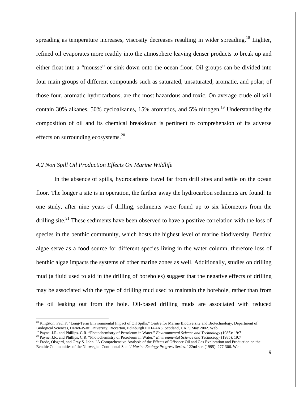spreading as temperature increases, viscosity decreases resulting in wider spreading.<sup>18</sup> Lighter, refined oil evaporates more readily into the atmosphere leaving denser products to break up and either float into a "mousse" or sink down onto the ocean floor. Oil groups can be divided into four main groups of different compounds such as saturated, unsaturated, aromatic, and polar; of those four, aromatic hydrocarbons, are the most hazardous and toxic. On average crude oil will contain 30% alkanes, 50% cycloalkanes, 15% aromatics, and 5% nitrogen.<sup>19</sup> Understanding the composition of oil and its chemical breakdown is pertinent to comprehension of its adverse effects on surrounding ecosystems. $^{20}$ 

#### *4.2 Non Spill Oil Production Effects On Marine Wildlife*

In the absence of spills, hydrocarbons travel far from drill sites and settle on the ocean floor. The longer a site is in operation, the farther away the hydrocarbon sediments are found. In one study, after nine years of drilling, sediments were found up to six kilometers from the drilling site.<sup>21</sup> These sediments have been observed to have a positive correlation with the loss of species in the benthic community, which hosts the highest level of marine biodiversity. Benthic algae serve as a food source for different species living in the water column, therefore loss of benthic algae impacts the systems of other marine zones as well. Additionally, studies on drilling mud (a fluid used to aid in the drilling of boreholes) suggest that the negative effects of drilling may be associated with the type of drilling mud used to maintain the borehole, rather than from the oil leaking out from the hole. Oil-based drilling muds are associated with reduced

<sup>&</sup>lt;sup>18</sup> Kingston, Paul F. "Long-Term Environmental Impact of Oil Spills." Centre for Marine Biodiversity and Biotechnology, Department of Biological Sciences, Heriot-Watt University, Riccarton, Edinburgh EH14 4AS, Scotland, UK. 9 May 2002. Web.<br><sup>19</sup> Payne, J.R. and Phillips. C.R. "Photochemistry of Petroleum in Water." *Environmental Science and Technology*

<sup>&</sup>lt;sup>20</sup> Payne, J.R. and Phillips. C.R. "Photochemistry of Petroleum in Water." *Environmental Science and Technology* (1985): 19:7<br><sup>21</sup> Frode, Olsgard, and Gray S. John. "A Comprehensive Analysis of the Effects of Offshore O

Benthic Communities of the Norwegian Continental Shelf."*Marine Ecology Progress Series.* 122nd ser. (1995): 277-306. Web.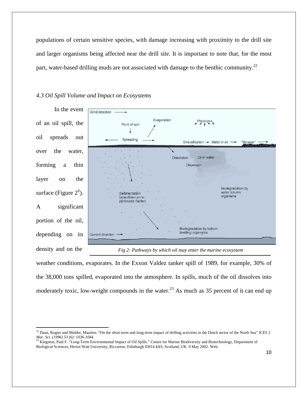populations of certain sensitive species, with damage increasing with proximity to the drill site and larger organisms being affected near the drill site. It is important to note that, for the most part, water-based drilling muds are not associated with damage to the benthic community.<sup>22</sup>

#### *4.3 Oil Spill Volume and Impact on Ecosystems*



weather conditions, evaporates. In the Exxon Valdez tanker spill of 1989, for example, 30% of the 38,000 tons spilled, evaporated into the atmosphere. In spills, much of the oil dissolves into moderately toxic, low-weight compounds in the water.<sup>23</sup> As much as 35 percent of it can end up

<sup>22</sup> Daan, Rogier and Mulder, Maarten. "On the short-term and long-term impact of drilling activities in the Dutch sector of the North Sea" *ICES J. Mar. Sci. (1996) 53 (6): 1036-1044.*

<sup>&</sup>lt;sup>23</sup> Kingston, Paul F. "Long-Term Environmental Impact of Oil Spills." Centre for Marine Biodiversity and Biotechnology, Department of Biological Sciences, Heriot-Watt University, Riccarton, Edinburgh EH14 4AS, Scotland, UK. 9 May 2002. Web.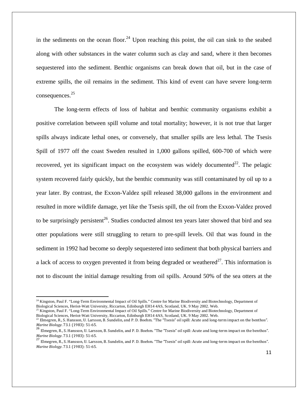in the sediments on the ocean floor.<sup>24</sup> Upon reaching this point, the oil can sink to the seabed along with other substances in the water column such as clay and sand, where it then becomes sequestered into the sediment. Benthic organisms can break down that oil, but in the case of extreme spills, the oil remains in the sediment. This kind of event can have severe long-term consequences.25

The long-term effects of loss of habitat and benthic community organisms exhibit a positive correlation between spill volume and total mortality; however, it is not true that larger spills always indicate lethal ones, or conversely, that smaller spills are less lethal. The Tsesis Spill of 1977 off the coast Sweden resulted in 1,000 gallons spilled, 600-700 of which were recovered, yet its significant impact on the ecosystem was widely documented<sup>22</sup>. The pelagic system recovered fairly quickly, but the benthic community was still contaminated by oil up to a year later. By contrast, the Exxon-Valdez spill released 38,000 gallons in the environment and resulted in more wildlife damage, yet like the Tsesis spill, the oil from the Exxon-Valdez proved to be surprisingly persistent<sup>26</sup>. Studies conducted almost ten years later showed that bird and sea otter populations were still struggling to return to pre-spill levels. Oil that was found in the sediment in 1992 had become so deeply sequestered into sediment that both physical barriers and a lack of access to oxygen prevented it from being degraded or weathered<sup>27</sup>. This information is not to discount the initial damage resulting from oil spills. Around 50% of the sea otters at the

 $^{25}$  Kingston, Paul F. "Long-Term Environmental Impact of Oil Spills." Centre for Marine Biodiversity and Biotechnology, Department of Biological Sciences, Heriot-Watt University, Riccarton, Edinburgh EH14 4AS, Scotland

<sup>&</sup>lt;sup>24</sup> Kingston, Paul F. "Long-Term Environmental Impact of Oil Spills." Centre for Marine Biodiversity and Biotechnology, Department of Biological Sciences, Heriot-Watt University, Riccarton, Edinburgh EH14 4AS, Scotland, UK. 9 May 2002. Web.

 $^{22}$  Elmegren, R., S. Hansson, U. Larsson, B. Sundelin, and P. D. Boehm. "The "Tsesis" oil spill: Acute and long-term impact on the benthos".

*Marine Biology.* 73.1 (1983): 51‐65.<br>
<sup>26</sup> Elmegren, R., S. Hansson, U. Larsson, B. Sundelin, and P. D. Boehm. "The "Tsesis" oil spill: Acute and long-term impact on the benthos".<br> *Marine Biology.* 73.1 (1983): 51‐65.

<sup>&</sup>lt;sup>27</sup> Elmegren, R., S. Hansson, U. Larsson, B. Sundelin, and P. D. Boehm. "The "Tsesis" oil spill: Acute and long-term impact on the benthos". *Marine Biology*. 73.1 (1983): 51‐65.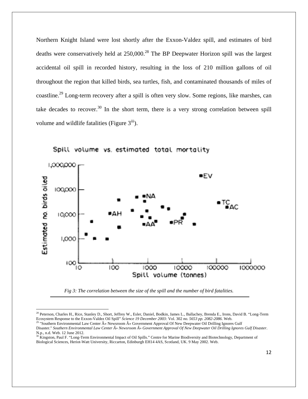Northern Knight Island were lost shortly after the Exxon-Valdez spill, and estimates of bird deaths were conservatively held at 250,000.<sup>28</sup> The BP Deepwater Horizon spill was the largest accidental oil spill in recorded history, resulting in the loss of 210 million gallons of oil throughout the region that killed birds, sea turtles, fish, and contaminated thousands of miles of coastline.29 Long-term recovery after a spill is often very slow. Some regions, like marshes, can take decades to recover.<sup>30</sup> In the short term, there is a very strong correlation between spill volume and wildlife fatalities (Figure  $3^{\text{iii}}$ ).



Spill volume vs. estimated total mortality

*Fig 3: The correlation between the size of the spill and the number of bird fatalities.* 

<sup>&</sup>lt;sup>28</sup> Peterson, Charles H., Rice, Stanley D., Short, Jeffrey W., Esler, Daniel, Bodkin, James L., Ballachey, Brenda E., Irons, David B. "Long-Term Ecosystem Response to the Exxon-Valdez Oil Spill" *Science 19 December 2003:* Vol. 302 *no. 5653 pp. 2082-2086.* Web.

<sup>&</sup>lt;sup>29</sup> "Southern Environmental Law Center  $\hat{A}$ » Newsroom  $\hat{A}$ » Government Approval Of New Deepwater Oil Drilling Ignores Gulf Disaster." Southern Environmental Law Center  $\hat{A}$ » Newsroom  $\hat{A}$ » Government Approval Of New Deepwater Oil Drilling Ignores Gulf Disaster. N.p., n.d. Web. 12 June 2012.

<sup>&</sup>lt;sup>30</sup> Kingston, Paul F. "Long-Term Environmental Impact of Oil Spills." Centre for Marine Biodiversity and Biotechnology, Department of Biological Sciences, Heriot-Watt University, Riccarton, Edinburgh EH14 4AS, Scotland, UK. 9 May 2002. Web.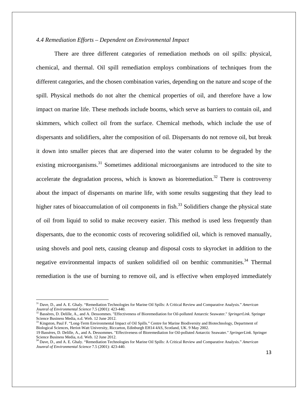#### *4.4 Remediation Efforts – Dependent on Environmental Impact*

There are three different categories of remediation methods on oil spills: physical, chemical, and thermal. Oil spill remediation employs combinations of techniques from the different categories, and the chosen combination varies, depending on the nature and scope of the spill. Physical methods do not alter the chemical properties of oil, and therefore have a low impact on marine life. These methods include booms, which serve as barriers to contain oil, and skimmers, which collect oil from the surface. Chemical methods, which include the use of dispersants and solidifiers, alter the composition of oil. Dispersants do not remove oil, but break it down into smaller pieces that are dispersed into the water column to be degraded by the existing microorganisms.<sup>31</sup> Sometimes additional microorganisms are introduced to the site to accelerate the degradation process, which is known as bioremediation.<sup>32</sup> There is controversy about the impact of dispersants on marine life, with some results suggesting that they lead to higher rates of bioaccumulation of oil components in fish.<sup>33</sup> Solidifiers change the physical state of oil from liquid to solid to make recovery easier. This method is used less frequently than dispersants, due to the economic costs of recovering solidified oil, which is removed manually, using shovels and pool nets, causing cleanup and disposal costs to skyrocket in addition to the negative environmental impacts of sunken solidified oil on benthic communities.<sup>34</sup> Thermal remediation is the use of burning to remove oil, and is effective when employed immediately

<sup>31</sup> Dave, D., and A. E. Ghaly. "Remediation Technologies for Marine Oil Spills: A Critical Review and Comparative Analysis." *American Jounral of Environmental Science* 7.5 (2001): 423-440.<br><sup>32</sup> Bassères, D. Delille, A., and A. Dessommes. "Effectiveness of Bioremediation for Oil-polluted Antarctic Seawater." *SpringerLink*. Springer

Science Business Media, n.d. Web. 12 June 2012.

<sup>&</sup>lt;sup>33</sup> Kingston, Paul F. "Long-Term Environmental Impact of Oil Spills." Centre for Marine Biodiversity and Biotechnology, Department of Biological Sciences, Heriot-Watt University, Riccarton, Edinburgh EH14 4AS, Scotland, UK. 9 May 2002.

<sup>19</sup> Bassères, D. Delille, A., and A. Dessommes. "Effectiveness of Bioremediation for Oil-polluted Antarctic Seawater." *SpringerLink*. Springer Science Business Media, n.d. Web. 12 June 2012.

<sup>34</sup> Dave, D., and A. E. Ghaly. "Remediation Technologies for Marine Oil Spills: A Critical Review and Comparative Analysis." *American Jounral of Environmental Science* 7.5 (2001): 423-440.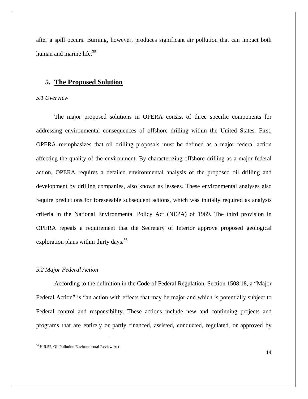after a spill occurs. Burning, however, produces significant air pollution that can impact both human and marine life.<sup>35</sup>

#### **5. The Proposed Solution**

#### *5.1 Overview*

The major proposed solutions in OPERA consist of three specific components for addressing environmental consequences of offshore drilling within the United States. First, OPERA reemphasizes that oil drilling proposals must be defined as a major federal action affecting the quality of the environment. By characterizing offshore drilling as a major federal action, OPERA requires a detailed environmental analysis of the proposed oil drilling and development by drilling companies, also known as lessees. These environmental analyses also require predictions for foreseeable subsequent actions, which was initially required as analysis criteria in the National Environmental Policy Act (NEPA) of 1969. The third provision in OPERA repeals a requirement that the Secretary of Interior approve proposed geological exploration plans within thirty days.  $36$ 

#### *5.2 Major Federal Action*

According to the definition in the Code of Federal Regulation, Section 1508.18, a "Major Federal Action" is "an action with effects that may be major and which is potentially subject to Federal control and responsibility. These actions include new and continuing projects and programs that are entirely or partly financed, assisted, conducted, regulated, or approved by

<sup>36</sup> H.R.52, Oil Pollution Environmental Review Act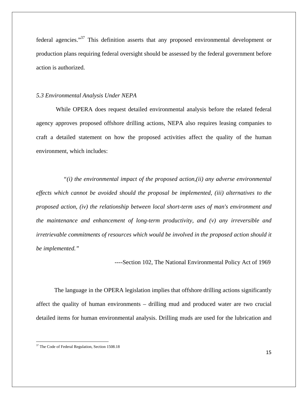federal agencies."37 This definition asserts that any proposed environmental development or production plans requiring federal oversight should be assessed by the federal government before action is authorized.

#### *5.3 Environmental Analysis Under NEPA*

 While OPERA does request detailed environmental analysis before the related federal agency approves proposed offshore drilling actions, NEPA also requires leasing companies to craft a detailed statement on how the proposed activities affect the quality of the human environment, which includes:

 *"(i) the environmental impact of the proposed action,(ii) any adverse environmental effects which cannot be avoided should the proposal be implemented, (iii) alternatives to the proposed action, (iv) the relationship between local short-term uses of man's environment and the maintenance and enhancement of long-term productivity, and (v) any irreversible and irretrievable commitments of resources which would be involved in the proposed action should it be implemented."* 

----Section 102, The National Environmental Policy Act of 1969

The language in the OPERA legislation implies that offshore drilling actions significantly affect the quality of human environments – drilling mud and produced water are two crucial detailed items for human environmental analysis. Drilling muds are used for the lubrication and

<sup>&</sup>lt;sup>37</sup> The Code of Federal Regulation, Section 1508.18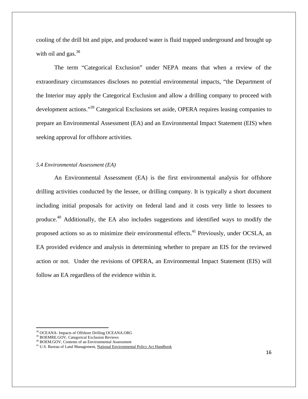cooling of the drill bit and pipe, and produced water is fluid trapped underground and brought up with oil and gas. $38$ 

The term "Categorical Exclusion" under NEPA means that when a review of the extraordinary circumstances discloses no potential environmental impacts, "the Department of the Interior may apply the Categorical Exclusion and allow a drilling company to proceed with development actions."39 Categorical Exclusions set aside, OPERA requires leasing companies to prepare an Environmental Assessment (EA) and an Environmental Impact Statement (EIS) when seeking approval for offshore activities.

#### *5.4 Environmental Assessment (EA)*

An Environmental Assessment (EA) is the first environmental analysis for offshore drilling activities conducted by the lessee, or drilling company. It is typically a short document including initial proposals for activity on federal land and it costs very little to lessees to produce.40 Additionally, the EA also includes suggestions and identified ways to modify the proposed actions so as to minimize their environmental effects.<sup>41</sup> Previously, under OCSLA, an EA provided evidence and analysis in determining whether to prepare an EIS for the reviewed action or not. Under the revisions of OPERA, an Environmental Impact Statement (EIS) will follow an EA regardless of the evidence within it.

 38 OCEANA- Impacts of Offshore Drilling OCEANA.ORG

<sup>39</sup> BOEMRE.GOV, Categorical Exclusion Reviews

<sup>40</sup> BOEM.GOV, Contents of an Environmental Assessment

<sup>&</sup>lt;sup>41</sup> U.S. Bureau of Land Management, National Environmental Policy Act Handbook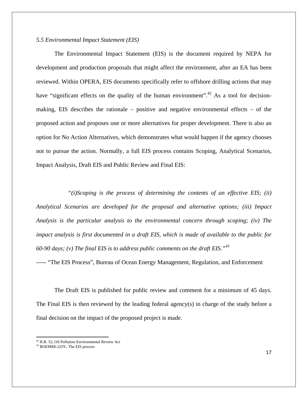#### *5.5 Environmental Impact Statement (EIS)*

The Environmental Impact Statement (EIS) is the document required by NEPA for development and production proposals that might affect the environment, after an EA has been reviewed. Within OPERA, EIS documents specifically refer to offshore drilling actions that may have "significant effects on the quality of the human environment".<sup>42</sup> As a tool for decisionmaking, EIS describes the rationale – positive and negative environmental effects – of the proposed action and proposes one or more alternatives for proper development. There is also an option for No Action Alternatives, which demonstrates what would happen if the agency chooses not to pursue the action. Normally, a full EIS process contains Scoping, Analytical Scenarios, Impact Analysis, Draft EIS and Public Review and Final EIS:

 *"(i)Scoping is the process of determining the contents of an effective EIS; (ii) Analytical Scenarios are developed for the proposal and alternative options; (iii) Impact Analysis is the particular analysis to the environmental concern through scoping; (iv) The impact analysis is first documented in a draft EIS, which is made of available to the public for 60-90 days; (v) The final EIS is to address public comments on the draft EIS."<sup>43</sup>*

----- "The EIS Process", Bureau of Ocean Energy Management, Regulation, and Enforcement

The Draft EIS is published for public review and comment for a minimum of 45 days. The Final EIS is then reviewed by the leading federal agency(s) in charge of the study before a final decision on the impact of the proposed project is made.

 $42$  H.R. 52, Oil Pollution Environmental Review Act

<sup>43</sup> BOEMRE.GOV, The EIS process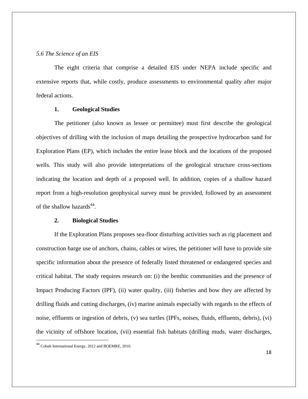#### *5.6 The Science of an EIS*

The eight criteria that comprise a detailed EIS under NEPA include specific and extensive reports that, while costly, produce assessments to environmental quality after major federal actions.

#### **1. Geological Studies**

The petitioner (also known as lessee or permittee) must first describe the geological objectives of drilling with the inclusion of maps detailing the prospective hydrocarbon sand for Exploration Plans (EP), which includes the entire lease block and the locations of the proposed wells. This study will also provide interpretations of the geological structure cross-sections indicating the location and depth of a proposed well. In addition, copies of a shallow hazard report from a high-resolution geophysical survey must be provided, followed by an assessment of the shallow hazards $44$ .

#### **2. Biological Studies**

If the Exploration Plans proposes sea-floor disturbing activities such as rig placement and construction barge use of anchors, chains, cables or wires, the petitioner will have to provide site specific information about the presence of federally listed threatened or endangered species and critical habitat. The study requires research on: (i) the benthic communities and the presence of Impact Producing Factors (IPF), (ii) water quality, (iii) fisheries and how they are affected by drilling fluids and cutting discharges, (iv) marine animals especially with regards to the effects of noise, effluents or ingestion of debris, (v) sea turtles (IPFs, noises, fluids, effluents, debris), (vi) the vicinity of offshore location, (vii) essential fish habitats (drilling muds, water discharges,

<sup>&</sup>lt;sup>44</sup> Cobalt International Energy, 2012 and BOEMRE, 2010.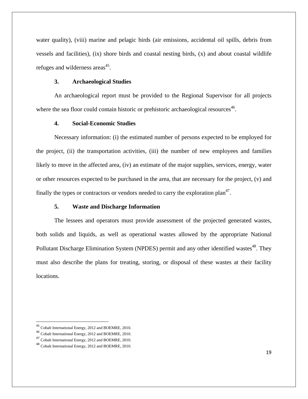water quality), (viii) marine and pelagic birds (air emissions, accidental oil spills, debris from vessels and facilities), (ix) shore birds and coastal nesting birds, (x) and about coastal wildlife refuges and wilderness areas<sup>45</sup>.

#### **3. Archaeological Studies**

An archaeological report must be provided to the Regional Supervisor for all projects where the sea floor could contain historic or prehistoric archaeological resources<sup>46</sup>.

#### **4. Social-Economic Studies**

Necessary information: (i) the estimated number of persons expected to be employed for the project, (ii) the transportation activities, (iii) the number of new employees and families likely to move in the affected area, (iv) an estimate of the major supplies, services, energy, water or other resources expected to be purchased in the area, that are necessary for the project, (v) and finally the types or contractors or vendors needed to carry the exploration plan<sup>47</sup>.

#### **5. Waste and Discharge Information**

The lessees and operators must provide assessment of the projected generated wastes, both solids and liquids, as well as operational wastes allowed by the appropriate National Pollutant Discharge Elimination System (NPDES) permit and any other identified wastes<sup>48</sup>. They must also describe the plans for treating, storing, or disposal of these wastes at their facility locations.

<sup>45</sup> Cobalt International Energy, 2012 and BOEMRE, 2010.

<sup>46</sup> Cobalt International Energy, 2012 and BOEMRE, 2010.

<sup>47</sup> Cobalt International Energy, 2012 and BOEMRE, 2010.

<sup>48</sup> Cobalt International Energy, 2012 and BOEMRE, 2010.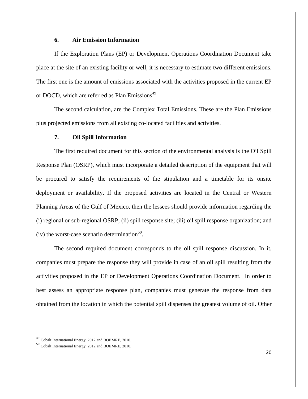#### **6. Air Emission Information**

If the Exploration Plans (EP) or Development Operations Coordination Document take place at the site of an existing facility or well, it is necessary to estimate two different emissions. The first one is the amount of emissions associated with the activities proposed in the current EP or DOCD, which are referred as Plan Emissions<sup>49</sup>.

The second calculation, are the Complex Total Emissions. These are the Plan Emissions plus projected emissions from all existing co-located facilities and activities.

#### **7. Oil Spill Information**

The first required document for this section of the environmental analysis is the Oil Spill Response Plan (OSRP), which must incorporate a detailed description of the equipment that will be procured to satisfy the requirements of the stipulation and a timetable for its onsite deployment or availability. If the proposed activities are located in the Central or Western Planning Areas of the Gulf of Mexico, then the lessees should provide information regarding the (i) regional or sub-regional OSRP; (ii) spill response site; (iii) oil spill response organization; and (iv) the worst-case scenario determination $^{50}$ .

The second required document corresponds to the oil spill response discussion. In it, companies must prepare the response they will provide in case of an oil spill resulting from the activities proposed in the EP or Development Operations Coordination Document. In order to best assess an appropriate response plan, companies must generate the response from data obtained from the location in which the potential spill dispenses the greatest volume of oil. Other

<sup>49</sup> Cobalt International Energy, 2012 and BOEMRE, 2010.

<sup>50</sup> Cobalt International Energy, 2012 and BOEMRE, 2010.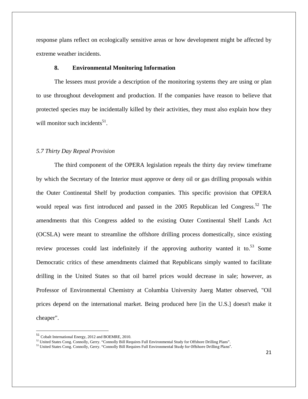response plans reflect on ecologically sensitive areas or how development might be affected by extreme weather incidents.

#### **8. Environmental Monitoring Information**

The lessees must provide a description of the monitoring systems they are using or plan to use throughout development and production. If the companies have reason to believe that protected species may be incidentally killed by their activities, they must also explain how they will monitor such incidents $51$ .

#### *5.7 Thirty Day Repeal Provision*

The third component of the OPERA legislation repeals the thirty day review timeframe by which the Secretary of the Interior must approve or deny oil or gas drilling proposals within the Outer Continental Shelf by production companies. This specific provision that OPERA would repeal was first introduced and passed in the 2005 Republican led Congress.<sup>52</sup> The amendments that this Congress added to the existing Outer Continental Shelf Lands Act (OCSLA) were meant to streamline the offshore drilling process domestically, since existing review processes could last indefinitely if the approving authority wanted it to.<sup>53</sup> Some Democratic critics of these amendments claimed that Republicans simply wanted to facilitate drilling in the United States so that oil barrel prices would decrease in sale; however, as Professor of Environmental Chemistry at Columbia University Juerg Matter observed, "Oil prices depend on the international market. Being produced here [in the U.S.] doesn't make it cheaper".

<sup>&</sup>lt;sup>51</sup> Cobalt International Energy, 2012 and BOEMRE, 2010.<br><sup>52</sup> United States Cong. Connolly, Gerry. "Connolly Bill Requires Full Environmental Study for Offshore Drilling Plans".

<sup>&</sup>lt;sup>53</sup> United States Cong. Connolly, Gerry. "Connolly Bill Requires Full Environmental Study for Offshore Drilling Plans".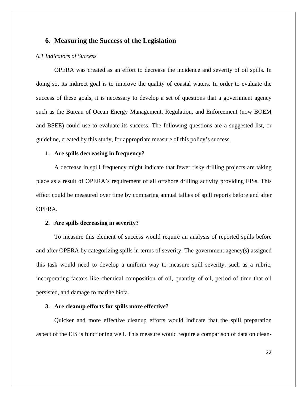#### **6. Measuring the Success of the Legislation**

#### *6.1 Indicators of Success*

OPERA was created as an effort to decrease the incidence and severity of oil spills. In doing so, its indirect goal is to improve the quality of coastal waters. In order to evaluate the success of these goals, it is necessary to develop a set of questions that a government agency such as the Bureau of Ocean Energy Management, Regulation, and Enforcement (now BOEM and BSEE) could use to evaluate its success. The following questions are a suggested list, or guideline, created by this study, for appropriate measure of this policy's success.

#### **1. Are spills decreasing in frequency?**

A decrease in spill frequency might indicate that fewer risky drilling projects are taking place as a result of OPERA's requirement of all offshore drilling activity providing EISs. This effect could be measured over time by comparing annual tallies of spill reports before and after OPERA.

#### **2. Are spills decreasing in severity?**

To measure this element of success would require an analysis of reported spills before and after OPERA by categorizing spills in terms of severity. The government agency(s) assigned this task would need to develop a uniform way to measure spill severity, such as a rubric, incorporating factors like chemical composition of oil, quantity of oil, period of time that oil persisted, and damage to marine biota.

#### **3. Are cleanup efforts for spills more effective?**

Quicker and more effective cleanup efforts would indicate that the spill preparation aspect of the EIS is functioning well. This measure would require a comparison of data on clean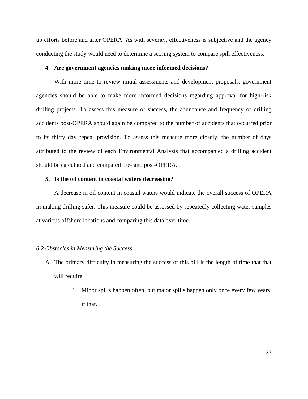up efforts before and after OPERA. As with severity, effectiveness is subjective and the agency conducting the study would need to determine a scoring system to compare spill effectiveness.

#### **4. Are government agencies making more informed decisions?**

With more time to review initial assessments and development proposals, government agencies should be able to make more informed decisions regarding approval for high-risk drilling projects. To assess this measure of success, the abundance and frequency of drilling accidents post-OPERA should again be compared to the number of accidents that occurred prior to its thirty day repeal provision. To assess this measure more closely, the number of days attributed to the review of each Environmental Analysis that accompanied a drilling accident should be calculated and compared pre- and post-OPERA.

#### **5. Is the oil content in coastal waters decreasing?**

A decrease in oil content in coastal waters would indicate the overall success of OPERA in making drilling safer. This measure could be assessed by repeatedly collecting water samples at various offshore locations and comparing this data over time.

#### *6.2 Obstacles in Measuring the Success*

- A. The primary difficulty in measuring the success of this bill is the length of time that that will require.
	- 1. Minor spills happen often, but major spills happen only once every few years, if that.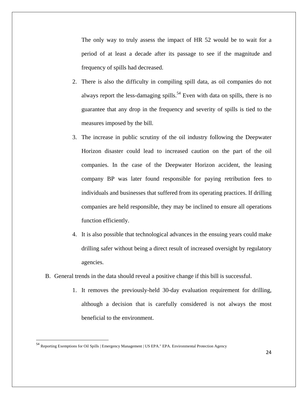The only way to truly assess the impact of HR 52 would be to wait for a period of at least a decade after its passage to see if the magnitude and frequency of spills had decreased.

- 2. There is also the difficulty in compiling spill data, as oil companies do not always report the less-damaging spills.<sup>54</sup> Even with data on spills, there is no guarantee that any drop in the frequency and severity of spills is tied to the measures imposed by the bill.
- 3. The increase in public scrutiny of the oil industry following the Deepwater Horizon disaster could lead to increased caution on the part of the oil companies. In the case of the Deepwater Horizon accident, the leasing company BP was later found responsible for paying retribution fees to individuals and businesses that suffered from its operating practices. If drilling companies are held responsible, they may be inclined to ensure all operations function efficiently.
- 4. It is also possible that technological advances in the ensuing years could make drilling safer without being a direct result of increased oversight by regulatory agencies.
- B. General trends in the data should reveal a positive change if this bill is successful.
	- 1. It removes the previously-held 30-day evaluation requirement for drilling, although a decision that is carefully considered is not always the most beneficial to the environment.

<sup>&</sup>lt;sup>54</sup> Reporting Exemptions for Oil Spills | Emergency Management | US EPA." EPA. Environmental Protection Agency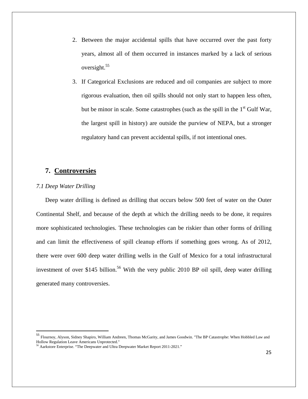- 2. Between the major accidental spills that have occurred over the past forty years, almost all of them occurred in instances marked by a lack of serious oversight.55
- 3. If Categorical Exclusions are reduced and oil companies are subject to more rigorous evaluation, then oil spills should not only start to happen less often, but be minor in scale. Some catastrophes (such as the spill in the  $1<sup>st</sup>$  Gulf War, the largest spill in history) are outside the purview of NEPA, but a stronger regulatory hand can prevent accidental spills, if not intentional ones.

#### **7. Controversies**

#### *7.1 Deep Water Drilling*

Deep water drilling is defined as drilling that occurs below 500 feet of water on the Outer Continental Shelf, and because of the depth at which the drilling needs to be done, it requires more sophisticated technologies. These technologies can be riskier than other forms of drilling and can limit the effectiveness of spill cleanup efforts if something goes wrong. As of 2012, there were over 600 deep water drilling wells in the Gulf of Mexico for a total infrastructural investment of over \$145 billion.<sup>56</sup> With the very public 2010 BP oil spill, deep water drilling generated many controversies.

<sup>55</sup> Flournoy, Alyson, Sidney Shapiro, William Andreen, Thomas McGarity, and James Goodwin. "The BP Catastrophe: When Hobbled Law and Hollow Regulation Leave Americans Unprotected."

 $6$  Aarkstore Enterprise. "The Deepwater and Ultra Deepwater Market Report 2011-2021."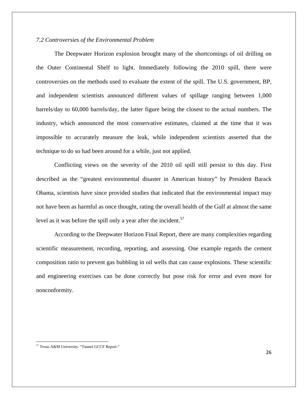#### *7.2 Controversies of the Environmental Problem*

The Deepwater Horizon explosion brought many of the shortcomings of oil drilling on the Outer Continental Shelf to light. Immediately following the 2010 spill, there were controversies on the methods used to evaluate the extent of the spill. The U.S. government, BP, and independent scientists announced different values of spillage ranging between 1,000 barrels/day to 60,000 barrels/day, the latter figure being the closest to the actual numbers. The industry, which announced the most conservative estimates, claimed at the time that it was impossible to accurately measure the leak, while independent scientists asserted that the technique to do so had been around for a while, just not applied.

Conflicting views on the severity of the 2010 oil spill still persist to this day. First described as the "greatest environmental disaster in American history" by President Barack Obama, scientists have since provided studies that indicated that the environmental impact may not have been as harmful as once thought, rating the overall health of the Gulf at almost the same level as it was before the spill only a year after the incident.<sup>57</sup>

According to the Deepwater Horizon Final Report, there are many complexities regarding scientific measurement, recording, reporting, and assessing. One example regards the cement composition ratio to prevent gas bubbling in oil wells that can cause explosions. These scientific and engineering exercises can be done correctly but pose risk for error and even more for nonconformity.

<sup>57</sup> Texas A&M University. "Tunnel GCCF Report."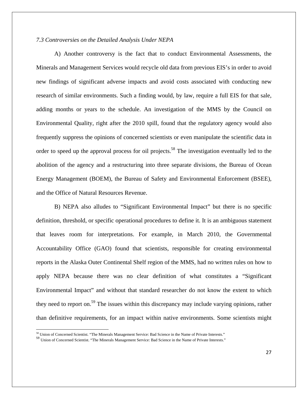#### *7.3 Controversies on the Detailed Analysis Under NEPA*

A) Another controversy is the fact that to conduct Environmental Assessments, the Minerals and Management Services would recycle old data from previous EIS's in order to avoid new findings of significant adverse impacts and avoid costs associated with conducting new research of similar environments. Such a finding would, by law, require a full EIS for that sale, adding months or years to the schedule. An investigation of the MMS by the Council on Environmental Quality, right after the 2010 spill, found that the regulatory agency would also frequently suppress the opinions of concerned scientists or even manipulate the scientific data in order to speed up the approval process for oil projects.<sup>58</sup> The investigation eventually led to the abolition of the agency and a restructuring into three separate divisions, the Bureau of Ocean Energy Management (BOEM), the Bureau of Safety and Environmental Enforcement (BSEE), and the Office of Natural Resources Revenue.

 B) NEPA also alludes to "Significant Environmental Impact" but there is no specific definition, threshold, or specific operational procedures to define it. It is an ambiguous statement that leaves room for interpretations. For example, in March 2010, the Governmental Accountability Office (GAO) found that scientists, responsible for creating environmental reports in the Alaska Outer Continental Shelf region of the MMS, had no written rules on how to apply NEPA because there was no clear definition of what constitutes a "Significant Environmental Impact" and without that standard researcher do not know the extent to which they need to report on.<sup>59</sup> The issues within this discrepancy may include varying opinions, rather than definitive requirements, for an impact within native environments. Some scientists might

<sup>58</sup> Union of Concerned Scientist. "The Minerals Management Service: Bad Science in the Name of Private Interests."

<sup>59</sup> Union of Concerned Scientist. "The Minerals Management Service: Bad Science in the Name of Private Interests."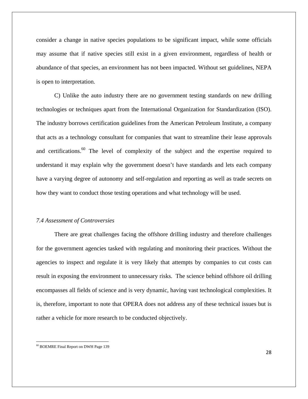consider a change in native species populations to be significant impact, while some officials may assume that if native species still exist in a given environment, regardless of health or abundance of that species, an environment has not been impacted. Without set guidelines, NEPA is open to interpretation.

 C) Unlike the auto industry there are no government testing standards on new drilling technologies or techniques apart from the International Organization for Standardization (ISO). The industry borrows certification guidelines from the American Petroleum Institute, a company that acts as a technology consultant for companies that want to streamline their lease approvals and certifications.<sup>60</sup> The level of complexity of the subject and the expertise required to understand it may explain why the government doesn't have standards and lets each company have a varying degree of autonomy and self-regulation and reporting as well as trade secrets on how they want to conduct those testing operations and what technology will be used.

#### *7.4 Assessment of Controversies*

 There are great challenges facing the offshore drilling industry and therefore challenges for the government agencies tasked with regulating and monitoring their practices. Without the agencies to inspect and regulate it is very likely that attempts by companies to cut costs can result in exposing the environment to unnecessary risks. The science behind offshore oil drilling encompasses all fields of science and is very dynamic, having vast technological complexities. It is, therefore, important to note that OPERA does not address any of these technical issues but is rather a vehicle for more research to be conducted objectively.

 60 BOEMRE Final Report on DWH Page 139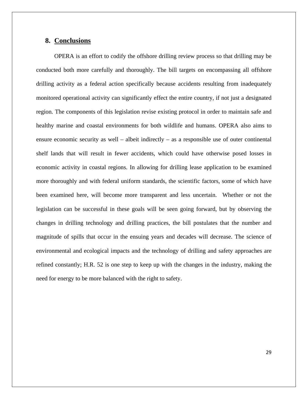#### **8. Conclusions**

OPERA is an effort to codify the offshore drilling review process so that drilling may be conducted both more carefully and thoroughly. The bill targets on encompassing all offshore drilling activity as a federal action specifically because accidents resulting from inadequately monitored operational activity can significantly effect the entire country, if not just a designated region. The components of this legislation revise existing protocol in order to maintain safe and healthy marine and coastal environments for both wildlife and humans. OPERA also aims to ensure economic security as well – albeit indirectly – as a responsible use of outer continental shelf lands that will result in fewer accidents, which could have otherwise posed losses in economic activity in coastal regions. In allowing for drilling lease application to be examined more thoroughly and with federal uniform standards, the scientific factors, some of which have been examined here, will become more transparent and less uncertain. Whether or not the legislation can be successful in these goals will be seen going forward, but by observing the changes in drilling technology and drilling practices, the bill postulates that the number and magnitude of spills that occur in the ensuing years and decades will decrease. The science of environmental and ecological impacts and the technology of drilling and safety approaches are refined constantly; H.R. 52 is one step to keep up with the changes in the industry, making the need for energy to be more balanced with the right to safety.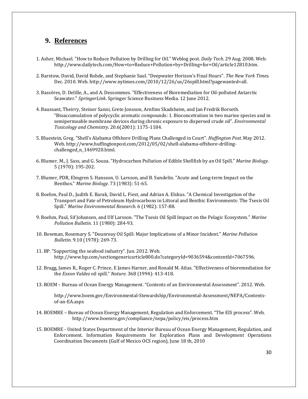#### **9. References**

- 1. Asher, Michael. "How to Reduce Pollution by Drilling for Oil." Weblog post. *Daily Tech.* 29 Aug. 2008. Web. http://www.dailytech.com/How+to+Reduce+Pollution+by+Drilling+for+Oil/article12810.htm.
- 2. Barstow, David, David Rohde, and Stephanie Saul. "Deepwater Horizon's Final Hours". *The New York Times.* Dec. 2010. Web. http://www.nytimes.com/2010/12/26/us/26spill.html?pagewanted=all.
- 3. Bassères, D. Delille, A., and A. Dessommes. "Effectiveness of Bioremediation for Oil-polluted Antarctic Seawater." *SpringerLink*. Springer Science Business Media. 12 June 2012.
- 4. Baussant, Theirry, Steiner Sanni, Grete Jonsson, Arnfinn Skadsheim, and Jan Fredrik Borseth. "Bioaccumulation of polycyclic aromatic compounds: 1. Bioconcetration in two marine species and in semipermeable membrane devices during chronic exposure to dispersed crude oil". *Environmental Toxicology and Chemistry*. 20.6(2001): 1175‐1184.
- 5. Bluestein, Greg. "Shell's Alabama Offshore Drilling Plans Challenged in Court". *Huffington Post*. May 2012. Web. http://www.huffingtonpost.com/2012/05/02/shell-alabama-offshore-drillingchallenged\_n\_1469920.html.
- 6. Blumer, M., J. Sass, and G. Souza. "Hydrocarbon Pollution of Edible Shellfish by an Oil Spill." *Marine Biology.* 5 (1970): 195‐202.
- 7. Blumer, PDR, Elmgren S. Hansson, U. Larsson, and B. Sundelin. "Acute and Long-term Impact on the Benthos." *Marine Biology.* 73 (1983): 51‐65.
- 8. Boehm, Paul D., Judith E. Barak, David L. Fiest, and Adrian A. Elskus. "A Chemical Investigation of the Transport and Fate of Petroleum Hydrocarbons in Littoral and Benthic Environments: The Tsesis Oil Spill." *Marine Environmental Research.* 6 (1982): 157‐88.
- 9. Boehm, Paul, Sif Johansen, and Ulf Larsson. "The Tsesis Oil Spill Impact on the Pelagic Ecosystem." *Marine Pollution Bulletin.* 11 (1980): 284‐93.
- 10. Bowman, Rosemary S. "Dounreay Oil Spill: Major Implications of a Minor Incident." *Marine Pollution Bulletin.* 9.10 (1978): 269‐73.
- 11. BP. "Supporting the seafood industry". Jun. 2012. Web. http://www.bp.com/sectiongenericarticle800.do?categoryId=9036594&contentId=7067596.
- 12. Bragg, James R., Roger C. Prince, E James Harner, and Ronald M. Atlas. "Effectiveness of bioremediation for the *Exxon Valdez* oil spill." *Nature*. 368 (1994): 413-418.
- 13. BOEM Bureau of Ocean Energy Management. "Contents of an Environmental Assessment". 2012. Web.

http://www.boem.gov/Environmental‐Stewardship/Environmental‐Assessment/NEPA/Contents‐ of‐an‐EA.aspx 

- 14. BOEMRE Bureau of Ocean Energy Management, Regulation and Enforcement. "The EIS process". Web. http://www.boemre.gov/compliance/nepa/policy/eis/process.htm
- 15. BOEMRE United States Department of the Interior Bureau of Ocean Energy Management, Regulation, and Enforcement. Information Requirements for Exploration Plans and Development Operations Coordination Documents (Gulf of Mexico OCS region), June 18 th, 2010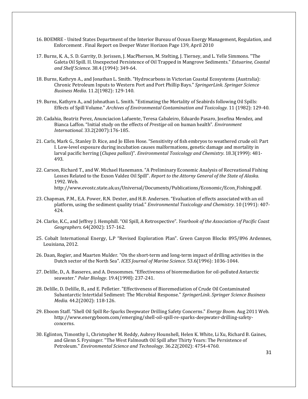- 16. BOEMRE United States Department of the Interior Bureau of Ocean Energy Management, Regulation, and Enforcement . Final Report on Deeper Water Horizon Page 139, April 2010
- 17. Burns, K. A., S. D. Garrity, D. Jorissen, J. MacPherson, M. Stelting, J. Tierney, and L. Yelle Simmons. "The Galeta Oil Spill. II. Unexpected Persistence of Oil Trapped in Mangrove Sediments." *Estuarine, Coastal and Shelf Science.* 38.4 (1994): 349‐64.
- 18. Burns, Kathryn A., and Jonathan L. Smith. "Hydrocarbons in Victorian Coastal Ecosystems (Australia): Chronic Petroleum Inputs to Western Port and Port Phillip Bays." *SpringerLink*. *Springer Science Business Media*. 11.2(1982): 129‐140.
- 19. Burns, Kathyrn A., and Johnathan L. Smith. "Estimating the Mortality of Seabirds following Oil Spills: Effects of Spill Volume." *Archives of Environmental Contamination and Toxicology.* 11 (1982): 129‐40.
- 20. Cadahia, Beatriz Perez, Anunciacion Lafuente, Teresa Cabaleiro, Eduardo Pasaro, Josefina Mendez, and Bianca Laffon. "Initial study on the effects of *Prestige* oil on human health". *Environment International*. 33.2(2007):176‐185.
- 21. Carls, Mark G., Stanley D. Rice, and Jo Ellen Hose. "Sensitivity of fish embryos to weathered crude oil: Part I. Low-level exposure during incubation causes malformations, genetic damage and mortality in larval pacific herring (*Clupea pallasi*)". *Environmental Toxicology and Chemistry*. 18.3(1999): 481-493.
- 22. Carson, Richard T., and W. Michael Hanemann. "A Preliminary Economic Analysis of Recreational Fishing Losses Related to the Exxon Valdez Oil Spill". *Report to the Attorny General of the State of Alaska*. 1992. Web. http://www.evostc.state.ak.us/Universal/Documents/Publications/Economic/Econ\_Fishing.pdf.
- 23. Chapman, P.M., E.A. Power, R.N. Dexter, and H.B. Andersen. "Evaluation of effects associated with an oil platform, using the sediment quality triad." *Environmental Toxicology and Chemistry.* 10 (1991): 407-424.
- 24. Clarke, K.C., and Jeffrey J. Hemphill. "Oil Spill, A Retrospective"*. Yearbook of the Association of Pacific Coast Geographers.* 64(2002): 157‐162.
- 25. Cobalt International Energy, L.P "Revised Exploration Plan". Green Canyon Blocks 895/896 Ardennes, Louisiana, 2012.
- 26. Daan, Rogier, and Maarten Mulder. "On the short-term and long-term impact of drilling activities in the Dutch sector of the North Sea". *ICES Journal of Marine Science*. 53.6(1996): 1036-1044.
- 27. Delille, D., A. Basseres, and A. Dessommes. "Effectiveness of bioremediation for oil-polluted Antarctic seawater." *Polar Biology*. 19.4(1998): 237‐241.
- 28. Delille, D. Delille, B., and E. Pelletier. "Effectiveness of Bioremediation of Crude Oil Contaminated Subantarctic Intertidal Sediment: The Microbial Response." *SpringerLink*. *Springer Science Business Media.* 44.2(2002): 118-126.
- 29. Eboom Staff. "Shell Oil Spill Re-Sparks Deepwater Drilling Safety Concerns." *Energy Boom.* Aug 2011 Web. http://www.energyboom.com/emerging/shell‐oil‐spill‐re‐sparks‐deepwater‐drilling‐safety‐ concerns.
- 30. Eglinton, Timonthy I., Christopher M. Reddy, Aubrey Hounshell, Helen K. White, Li Xu, Richard B. Gaines, and Glenn S. Frysinger. "The West Falmouth Oil Spill after Thirty Years: The Persistence of Petroleum." *Environmental Science and Technology*. 36.22(2002): 4754‐4760.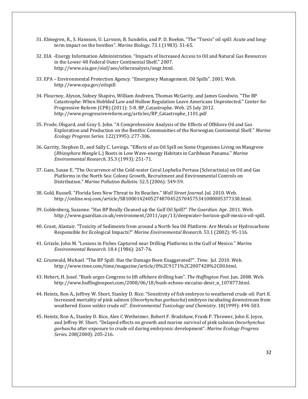- 31. Elmegren, R., S. Hansson, U. Larsson, B. Sundelin, and P. D. Boehm. "The "Tsesis" oil spill: Acute and longterm impact on the benthos". *Marine Biology*. 73.1 (1983): 51-65.
- 32. EIA -Energy Information Administration. "Impacts of Increased Access to Oil and Natural Gas Resources in the Lower 48 Federal Outer Continental Shelf." 2007. http://www.eia.gov/oiaf/aeo/otheranalysis/ongr.html.
- 33. EPA Environmental Protection Agency. "Emergency Management. Oil Spills". 2001. Web. http://www.epa.gov/oilspill
- 34. Flournoy, Alyson, Sidney Shapiro, William Andreen, Thomas McGarity, and James Goodwin. "The BP Catastrophe: When Hobbled Law and Hollow Regulation Leave Americans Unprotected." Center for Progressive Reform (CPR) (2011): 5-8. BP Catastrophe. Web. 25 July 2012. http://www.progressivereform.org/articles/BP\_Catastrophe\_1101.pdf
- 35. Frode, Olsgard, and Gray S. John. "A Comprehensive Analysis of the Effects of Offshore Oil and Gas Exploration and Production on the Benthic Communities of the Norwegian Continental Shelf." *Marine Ecology Progress Series.* 122(1995): 277‐306.
- 36. Garrity, Stephen D., and Sally C. Levings. "Effects of an Oil Spill on Some Organisms Living on Mangrove (*Rhizophora Mangle L.*) Roots in Low Wave-energy Habitats in Caribbean Panama." Marine *Environmental Research.* 35.3 (1993): 251‐71.
- 37. Gass, Susan E. "The Occurrence of the Cold-water Coral Lophelia Pertusa (Scleractinia) on Oil and Gas Platforms in the North Sea: Colony Growth, Recruitment and Environmental Controls on Distribution." *Marine Pollution Bulletin.* 52.5 (2006): 549‐59.
- 38. Gold, Russell. "Florida Sees New Threat to Its Beaches." *Wall Street Journal*. Jul. 2010. Web. http://online.wsj.com/article/SB10001424052748704525704575341080005377338.html.
- 39. Goldenberg, Suzanne. "Has BP Really Cleaned up the Gulf Oil Spill?" The Guardian. Apr. 2011. Web. http://www.guardian.co.uk/environment/2011/apr/13/deepwater-horizon-gulf-mexico-oil-spill.
- 40. Grant, Alastair. "Toxicity of Sediments from around a North Sea Oil Platform: Are Metals or Hydrocarbons Responsible for Ecological Impacts?" Marine *Environmental Research.* 53.1 (2002): 95-116.
- 41. Grizzle, John M. "Lesions in Fishes Captured near Drilling Platforms in the Gulf of Mexico." *Marine Environmental Research.* 18.4 (1986): 267‐76.
- 42. Grunwald, Michael. "The BP Spill: Has the Damage Been Exaggerated?". *Time*. Jul. 2010. Web. http://www.time.com/time/magazine/article/0%2C9171%2C2007428%2C00.html.
- 43. Hebert, H. Josef. "Bush urges Congress to lift offshore drilling ban". *The Huffington Post*. Jun. 2008. Web. http://www.huffingtonpost.com/2008/06/18/bush-echoes-mccains-desir\_n\_107877.html.
- 44. Heintz, Ron A., Jeffrey W. Short, Stanley D. Rice. "Sensitivity of fish embryos to weathered crude oil: Part II. Increased mortality of pink salmon (*Oncorhynchus gorbuscha*) embryos incubating downstream from weathered *Exxon valdez* crude oil". *Environmental Toxicology and Chemistry*. 18(1999): 494‐503.
- 45. Heintz, Ron A., Stanley D. Rice, Alex C Wetheimer, Robert F. Bradshaw, Frank P. Thrower, John E. Joyce, and Jeffrey W. Short. "Delayed effects on growth and marine survival of pink salmon *Oncorhynchus gorbuscha* after exposure to crude oil during embryonic development". *Marine Ecology Progress* Series. 208(2000): 205-216.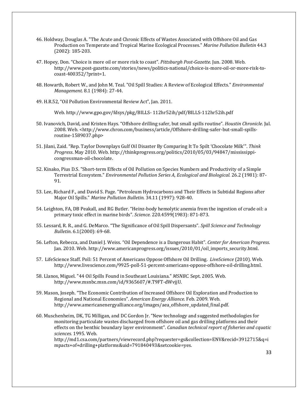- 46. Holdway, Douglas A. "The Acute and Chronic Effects of Wastes Associated with Offshore Oil and Gas Production on Temperate and Tropical Marine Ecological Processes." *Marine Pollution Bulletin* 44.3 (2002): 185‐203.
- 47. Hopey, Don. "Choice is more oil or more risk to coast". Pittsburgh Post-Gazette. [un. 2008. Web. http://www.post‐gazette.com/stories/news/politics‐national/choice‐is‐more‐oil‐or‐more‐risk‐to‐ coast‐400352/?print=1.
- 48. Howarth, Robert W., and John M. Teal. "Oil Spill Studies: A Review of Ecological Effects." *Environmental Management.* 8.1 (1984): 27-44.
- 49. H.R.52, "Oil Pollution Environmental Review Act", Jan. 2011.

Web. http://www.gpo.gov/fdsys/pkg/BILLS‐ 112hr52ih/pdf/BILLS‐112hr52ih.pdf 

- 50. Ivanovich, David, and Kristen Hays. "Offshore drilling safer, but small spills routine". *Houstin Chronicle*. Jul. 2008. Web. <http://www.chron.com/business/article/Offshore-drilling-safer-but-small-spillsroutine‐1589037.php>
- 51. Jilani, Zaid. "Rep. Taylor Downplays Gulf Oil Disaster By Comparing It To Spilt 'Chocolate Milk'". *Think Progress*. May 2010. Web. http://thinkprogress.org/politics/2010/05/03/94847/mississippi‐ congressman‐oil‐chocolate.
- 52. Kinako, Pius D.S. "Short-term Effects of Oil Pollution on Species Numbers and Productivity of a Simple Terrestrial Ecosystem." *Environmental Pollution Series A, Ecological and Biological.* 26.2 (1981): 87‐ 91.
- 53. Lee, Richard F., and David S. Page. "Petroleum Hydrocarbons and Their Effects in Subtidal Regions after Major Oil Spills." Marine Pollution Bulletin. 34.11 (1997): 928-40.
- 54. Leighton, FA, DB Peakall, and RG Butler. "Heinz-body hemolytic anemia from the ingestion of crude oil: a primary toxic effect in marine birds". Science. 220.4599(1983): 871-873.
- 55. Lessard, R. R., and G. DeMarco. "The Significance of Oil Spill Dispersants". *Spill Science and Technology Bulletin*. 6.1(2000): 69‐68.
- 56. Lefton, Rebecca, and Daniel J. Weiss. "Oil Dependence is a Dangerous Habit". *Center for American Progress*. Jan. 2010. Web. http://www.americanprogress.org/issues/2010/01/oil\_imports\_security.html.
- 57. LifeScience Staff. Poll: 51 Percent of Americans Oppose Offshore Oil Drilling. *LiveScience* (2010). Web. http://www.livescience.com/9925‐poll‐51‐percent‐americans‐oppose‐offshore‐oil‐drilling.html.
- 58. Llanos, Miguel. "44 Oil Spills Found in Southeast Louisiana." *MSNBC.* Sept. 2005. Web. http://www.msnbc.msn.com/id/9365607/#.T9FT‐dWvjjU.
- 59. Mason, Joseph. "The Economic Contribution of Increased Offshore Oil Exploration and Production to Regional and National Economies". American *Energy Alliance*. Feb. 2009. Web. http://www.americanenergyalliance.org/images/aea\_offshore\_updated\_final.pdf.
- 60. Muschenheim, DK, TG Milligan, and DC Gordon Jr. "New technology and suggested methodologies for monitoring particulate wastes discharged from offshore oil and gas drilling platforms and their effects on the benthic boundary layer environment". *Canadian technical report of fisheries and cquatic sciences.* 1995. Web.

http://md1.csa.com/partners/viewrecord.php?requester=gs&collection=ENV&recid=3912715&q=i mpacts+of+drilling+platforms&uid=791840493&setcookie=yes.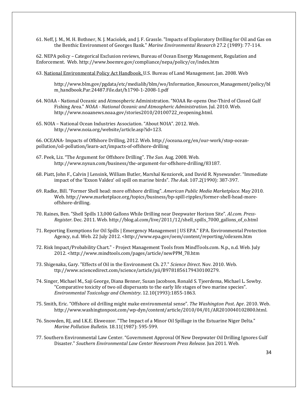61. Neff, J. M., M. H. Bothner, N. J. Maciolek, and J. F. Grassle. "Impacts of Exploratory Drilling for Oil and Gas on the Benthic Environment of Georges Bank." *Marine Environmental Research* 27.2 (1989): 77-114.

62. NEPA policy – Categorical Exclusion reviews, Bureau of Ocean Energy Management, Regulation and Enforcement. Web. http://www.boemre.gov/compliance/nepa/policy/ce/index.htm 

63. National Environmental Policy Act Handbook, U.S. Bureau of Land Management. Jan. 2008. Web

http://www.blm.gov/pgdata/etc/medialib/blm/wo/Information\_Resources\_Management/policy/bl m\_handbook.Par.24487.File.dat/h1790‐1‐2008‐1.pdf 

- 64. NOAA National Oceanic and Atmospheric Administration. "NOAA Re-opens One-Third of Closed Gulf Fishing Area." *NOAA ‐ National Oceanic and Atmospheric Administration*. Jul. 2010. Web. http://www.noaanews.noaa.gov/stories2010/20100722\_reopening.html.
- 65. NOIA National Ocean Industries Association. "About NOIA". 2012. Web. http://www.noia.org/website/article.asp?id=123.

66. OCEANA- Impacts of Offshore Drilling, 2012. Web. http://oceana.org/en/our-work/stop-oceanpollution/oil‐pollution/learn‐act/impacts‐of‐offshore‐drilling 

- 67. Peek, Liz. "The Argument for Offshore Drilling". The Sun. Aug. 2008. Web. http://www.nysun.com/business/the-argument-for-offshore-drilling/83187.
- 68. Piatt, John F., Calvin J Lensink, William Butler, Marshal Kenziorek, and David R. Nysewander. "Immediate impact of the 'Exxon Valdez' oil spill on marine birds". The Auk. 107.2(1990): 387-397.
- 69. Radke, Bill. "Former Shell head: more offshore drilling". *American Public Media Marketplace*. May 2010. Web. http://www.marketplace.org/topics/business/bp-spill-ripples/former-shell-head-moreoffshore‐drilling.
- 70. Raines, Ben. "Shell Spills 13,000 Gallons While Drilling near Deepwater Horizon Site". Al.com. Press-*Register*. Dec. 2011. Web. http://blog.al.com/live/2011/12/shell\_spills\_7000\_gallons\_of\_o.html
- 71. Reporting Exemptions for Oil Spills | Emergency Management | US EPA." EPA. Environmental Protection Agency, n.d. Web. 22 July 2012. <http://www.epa.gov/oem/content/reporting/oilexem.htm
- 72. Risk Impact/Probability Chart." Project Management Tools from MindTools.com. N.p., n.d. Web. July 2012. <http://www.mindtools.com/pages/article/newPPM\_78.htm
- 73. Shigenaka, Gary. "Effects of Oil in the Environment Ch. 27." *Science Direct*. Nov. 2010. Web. ttp://www.sciencedirect.com/science/article/pii/B9781856179430100279.
- 74. Singer, Michael M., Saji George, Diana Benner, Susan Jacobson, Ronald S. Tjeerdema, Michael L. Sowby. "Comparative toxicity of two oil dispersants to the early life stages of two marine species". *Environmental Toxicology and Chemistry*. 12.10(1993):1855‐1863.
- 75. Smith, Eric. "Offshore oil drilling might make environmental sense". *The Washington Post*. Apr. 2010. Web. http://www.washingtonpost.com/wp‐dyn/content/article/2010/04/01/AR2010040102800.html.
- 76. Snowden, RJ, and I.K.E. Ekweozor. "The Impact of a Minor Oil Spillage in the Estuarine Niger Delta." *Marine Pollution Bulletin*. 18.11(1987): 595‐599.
- 77. Southern Environmental Law Center. "Government Approval Of New Deepwater Oil Drilling Ignores Gulf Disaster." *Southern Environmental Law Center Newsroom Press Release.* Jun 2011. Web.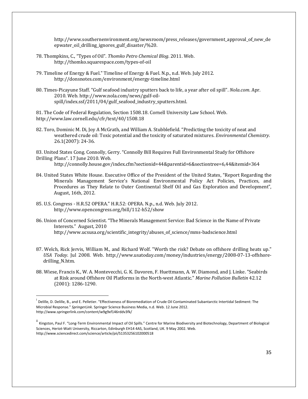http://www.southernenvironment.org/newsroom/press\_releases/government\_approval\_of\_new\_de epwater\_oil\_drilling\_ignores\_gulf\_disaster/%20. 

- 78. Thompkins, C., "Types of Oil". *Thomko Petro Chemical Blog*. 2011. Web. http://thomko.squarespace.com/types‐of‐oil
- 79. Timeline of Energy & Fuel." Timeline of Energy & Fuel. N.p., n.d. Web. July 2012. http://donsnotes.com/environment/energy‐timeline.html
- 80. Times-Picayune Staff. "Gulf seafood industry sputters back to life, a year after oil spill". *Nola.com*. Apr. 2010. Web. http://www.nola.com/news/gulf-oilspill/index.ssf/2011/04/gulf\_seafood\_industry\_sputters.html.

81. The Code of Federal Regulation, Section 1508.18. Cornell University Law School. Web. http://www.law.cornell.edu/cfr/text/40/1508.18 

82. Toro, Dominic M. Di, Joy A McGrath, and William A. Stubblefield. "Predicting the toxicity of neat and weathered crude oil: Toxic potential and the toxicity of saturated mixtures. *Environmental Chemistry*. 26.1(2007): 24-36.

83. United States Cong. Connolly, Gerry. "Connolly Bill Requires Full Environmental Study for Offshore Drilling Plans". 17 June 2010. Web.

http://connolly.house.gov/index.cfm?sectionid=44&parentid=6&sectiontree=6,44&itemid=364

- 84. United States White House. Executive Office of the President of the United States, "Report Regarding the Minerals Management Service's National Environmental Policy Act Policies, Practices, and Procedures as They Relate to Outer Continental Shelf Oil and Gas Exploration and Development", August, 16th, 2012.
- 85. U.S. Congress H.R.52 OPERA." H.R.52: OPERA. N.p., n.d. Web. July 2012. http://www.opencongress.org/bill/112‐h52/show

- 86. Union of Concerned Scientist. "The Minerals Management Service: Bad Science in the Name of Private Interests." August, 2010 http://www.ucsusa.org/scientific\_integrity/abuses\_of\_science/mms‐badscience.html
- 87. Welch, Rick Jervis, William M., and Richard Wolf. "Worth the risk? Debate on offshore drilling heats up." *USA Today*. Jul 2008. Web. http://www.usatoday.com/money/industries/energy/2008‐07‐13‐offshore‐ drilling\_N.htm.
- 88. Wiese, Francis K., W. A. Montevecchi, G. K. Davoren, F. Huettmann, A. W. Diamond, and J. Linke. "Seabirds at Risk around Offshore Oil Platforms in the North-west Atlantic." *Marine Pollution Bulletin* 42.12 (2001): 1286‐1290.

i Delille, D. Delille, B., and E. Pelletier. "Effectiveness of Bioremediation of Crude Oil Contaminated Subantarctic Intertidal Sediment: The Microbial Response." *SpringerLink*. Springer Science Business Media, n.d. Web. 12 June 2012. http://www.springerlink.com/content/w9g9xf146rddv3fk/

ii Kingston, Paul F. "Long‐Term Environmental Impact of Oil Spills." Centre for Marine Biodiversity and Biotechnology, Department of Biological Sciences, Heriot‐Watt University, Riccarton, Edinburgh EH14 4AS, Scotland, UK. 9 May 2002. Web. http://www.sciencedirect.com/science/article/pii/S1353256102000518